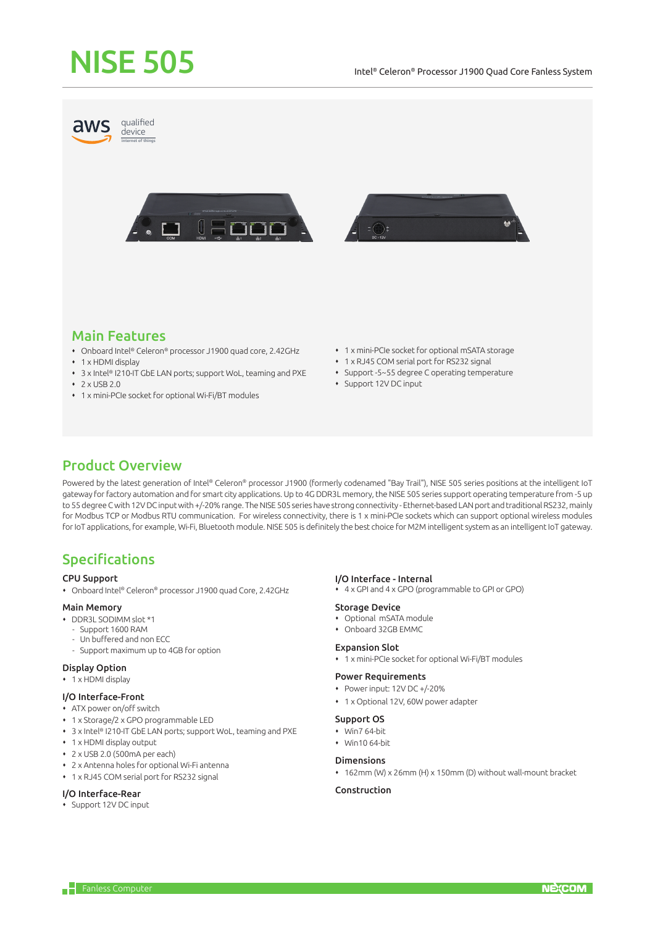# NISE 505



# Main Features

- Onboard Intel® Celeron® processor J1900 quad core, 2.42GHz
- 1 x HDMI display
- 3 x Intel® I210-IT GbE LAN ports; support WoL, teaming and PXE
- $\cdot$  2 x USB 2.0
- 1 x mini-PCIe socket for optional Wi-Fi/BT modules
- 1 x mini-PCIe socket for optional mSATA storage
- 1 x RJ45 COM serial port for RS232 signal
- Support -5~55 degree C operating temperature
- Support 12V DC input

# Product Overview

Powered by the latest generation of Intel® Celeron® processor J1900 (formerly codenamed "Bay Trail"), NISE 505 series positions at the intelligent IoT gateway for factory automation and for smart city applications. Up to 4G DDR3L memory, the NISE 505 series support operating temperature from -5 up to 55 degree C with 12V DC input with +/-20% range. The NISE 505 series have strong connectivity - Ethernet-based LAN port and traditional RS232, mainly for Modbus TCP or Modbus RTU communication. For wireless connectivity, there is 1 x mini-PCIe sockets which can support optional wireless modules for IoT applications, for example, Wi-Fi, Bluetooth module. NISE 505 is definitely the best choice for M2M intelligent system as an intelligent IoT gateway.

# Specifications

#### CPU Support

Onboard Intel® Celeron® processor J1900 quad Core, 2.42GHz

## Main Memory

- DDR3L SODIMM slot \*1
	- Support 1600 RAM
	- Un buffered and non ECC
	- Support maximum up to 4GB for option

## Display Option

• 1 x HDMI display

#### I/O Interface-Front

- ATX power on/off switch
- 1 x Storage/2 x GPO programmable LED
- 3 x Intel® I210-IT GbE LAN ports; support WoL, teaming and PXE
- 1 x HDMI display output
- $\cdot$  2 x USB 2.0 (500mA per each)
- 2 x Antenna holes for optional Wi-Fi antenna
- 1 x RJ45 COM serial port for RS232 signal

## I/O Interface-Rear

Support 12V DC input

# I/O Interface - Internal

4 x GPI and 4 x GPO (programmable to GPI or GPO)

#### Storage Device

- Optional mSATA module
- Onboard 32GB EMMC

#### Expansion Slot

1 x mini-PCIe socket for optional Wi-Fi/BT modules

#### Power Requirements

- Power input: 12V DC +/-20%
- 1 x Optional 12V, 60W power adapter

#### Support OS

- Win7 64-bit
- $W\in M$ in10 64-bit

## Dimensions

162mm (W) x 26mm (H) x 150mm (D) without wall-mount bracket

## Construction